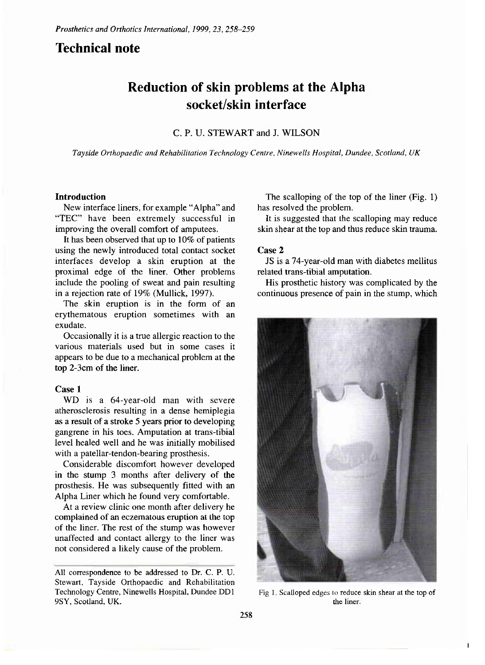# **Technical note**

# **Reduction of skin problems at the Alpha socket/skin interface**

### C. P. U. STEWART and J. WILSON

*Tayside Orthopaedic and Rehabilitation Technology Centre, Ninewells Hospital, Dundee, Scotland, UK* 

#### **Introduction**

New interface liners, for example "Alpha" and "TEC" have been extremely successful in improving the overall comfort of amputees.

It has been observed that up to 10% of patients using the newly introduced total contact socket interfaces develop a skin eruption at the proximal edge of the liner. Other problems include the pooling of sweat and pain resulting in a rejection rate of 19% (Mullick, 1997).

The skin eruption is in the form of an erythematous eruption sometimes with an exudate.

Occasionally it is a true allergic reaction to the various materials used but in some cases it appears to be due to a mechanical problem at the top 2-3cm of the liner.

#### **Case 1**

WD is a 64-year-old man with severe atherosclerosis resulting in a dense hemiplegia as a result of a stroke 5 years prior to developing gangrene in his toes. Amputation at trans-tibial level healed well and he was initially mobilised with a patellar-tendon-bearing prosthesis.

Considerable discomfort however developed in the stump 3 months after delivery of the prosthesis. He was subsequently fitted with an Alpha Liner which he found very comfortable.

At a review clinic one month after delivery he complained of an eczematous eruption at the top of the liner. The rest of the stump was however unaffected and contact allergy to the liner was not considered a likely cause of the problem.

The scalloping of the top of the liner (Fig. 1) has resolved the problem.

It is suggested that the scalloping may reduce skin shear at the top and thus reduce skin trauma.

#### Case 2

JS is a 74-year-old man with diabetes mellitus related trans-tibial amputation.

His prosthetic history was complicated by the continuous presence of pain in the stump, which



**Fig 1. Scalloped edges to reduce skin shear at the top of the liner.** 

**All correspondence to be addressed to Dr. C. P. U. Stewart, Tayside Orthopaedic and Rehabilitation Technology Centre, Ninewells Hospital, Dundee DD1 9SY, Scotland, UK.**